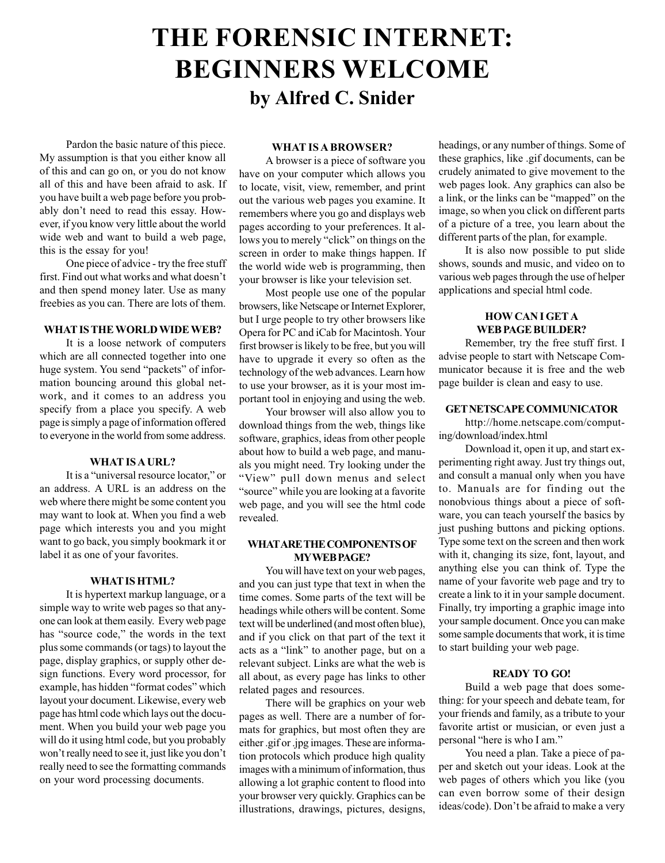# **THE FORENSIC INTERNET: BEGINNERS WELCOME by Alfred C. Snider**

Pardon the basic nature of this piece. My assumption is that you either know all of this and can go on, or you do not know all of this and have been afraid to ask. If you have built a web page before you probably don't need to read this essay. However, if you know very little about the world wide web and want to build a web page, this is the essay for you!

One piece of advice - try the free stuff first. Find out what works and what doesn't and then spend money later. Use as many freebies as you can. There are lots of them.

# **WHAT IS THE WORLD WIDE WEB?**

It is a loose network of computers which are all connected together into one huge system. You send "packets" of information bouncing around this global network, and it comes to an address you specify from a place you specify. A web page is simply a page of information offered to everyone in the world from some address.

#### **WHAT IS A URL?**

It is a "universal resource locator," or an address. A URL is an address on the web where there might be some content you may want to look at. When you find a web page which interests you and you might want to go back, you simply bookmark it or label it as one of your favorites.

## **WHAT IS HTML?**

It is hypertext markup language, or a simple way to write web pages so that anyone can look at them easily. Every web page has "source code," the words in the text plus some commands (or tags) to layout the page, display graphics, or supply other design functions. Every word processor, for example, has hidden "format codes" which layout your document. Likewise, every web page has html code which lays out the document. When you build your web page you will do it using html code, but you probably won't really need to see it, just like you don't really need to see the formatting commands on your word processing documents.

#### **WHAT IS A BROWSER?**

A browser is a piece of software you have on your computer which allows you to locate, visit, view, remember, and print out the various web pages you examine. It remembers where you go and displays web pages according to your preferences. It allows you to merely "click" on things on the screen in order to make things happen. If the world wide web is programming, then your browser is like your television set.

Most people use one of the popular browsers, like Netscape or Internet Explorer, but I urge people to try other browsers like Opera for PC and iCab for Macintosh. Your first browser is likely to be free, but you will have to upgrade it every so often as the technology of the web advances. Learn how to use your browser, as it is your most important tool in enjoying and using the web.

Your browser will also allow you to download things from the web, things like software, graphics, ideas from other people about how to build a web page, and manuals you might need. Try looking under the "View" pull down menus and select "source" while you are looking at a favorite web page, and you will see the html code revealed.

# **WHAT ARE THE COMPONENTS OF MY WEB PAGE?**

You will have text on your web pages, and you can just type that text in when the time comes. Some parts of the text will be headings while others will be content. Some text will be underlined (and most often blue), and if you click on that part of the text it acts as a "link" to another page, but on a relevant subject. Links are what the web is all about, as every page has links to other related pages and resources.

There will be graphics on your web pages as well. There are a number of formats for graphics, but most often they are either .gif or .jpg images. These are information protocols which produce high quality images with a minimum of information, thus allowing a lot graphic content to flood into your browser very quickly. Graphics can be illustrations, drawings, pictures, designs, headings, or any number of things. Some of these graphics, like .gif documents, can be crudely animated to give movement to the web pages look. Any graphics can also be a link, or the links can be "mapped" on the image, so when you click on different parts of a picture of a tree, you learn about the different parts of the plan, for example.

It is also now possible to put slide shows, sounds and music, and video on to various web pages through the use of helper applications and special html code.

# **HOW CAN I GET A WEB PAGE BUILDER?**

Remember, try the free stuff first. I advise people to start with Netscape Communicator because it is free and the web page builder is clean and easy to use.

# **GET NETSCAPE COMMUNICATOR**

http://home.netscape.com/computing/download/index.html

Download it, open it up, and start experimenting right away. Just try things out, and consult a manual only when you have to. Manuals are for finding out the nonobvious things about a piece of software, you can teach yourself the basics by just pushing buttons and picking options. Type some text on the screen and then work with it, changing its size, font, layout, and anything else you can think of. Type the name of your favorite web page and try to create a link to it in your sample document. Finally, try importing a graphic image into your sample document. Once you can make some sample documents that work, it is time to start building your web page.

# **READY TO GO!**

Build a web page that does something: for your speech and debate team, for your friends and family, as a tribute to your favorite artist or musician, or even just a personal "here is who I am."

You need a plan. Take a piece of paper and sketch out your ideas. Look at the web pages of others which you like (you can even borrow some of their design ideas/code). Don't be afraid to make a very